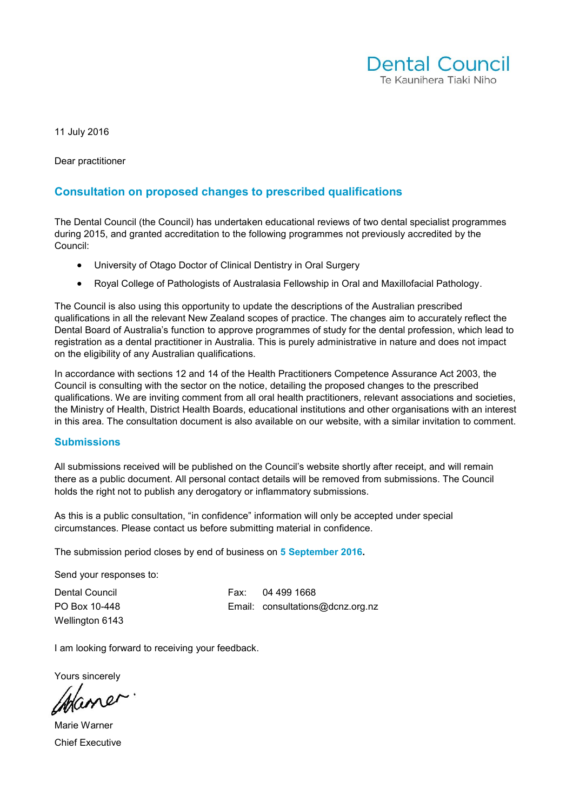

11 July 2016

Dear practitioner

#### **Consultation on proposed changes to prescribed qualifications**

The Dental Council (the Council) has undertaken educational reviews of two dental specialist programmes during 2015, and granted accreditation to the following programmes not previously accredited by the Council:

- University of Otago Doctor of Clinical Dentistry in Oral Surgery
- Royal College of Pathologists of Australasia Fellowship in Oral and Maxillofacial Pathology.

The Council is also using this opportunity to update the descriptions of the Australian prescribed qualifications in all the relevant New Zealand scopes of practice. The changes aim to accurately reflect the Dental Board of Australia's function to approve programmes of study for the dental profession, which lead to registration as a dental practitioner in Australia. This is purely administrative in nature and does not impact on the eligibility of any Australian qualifications.

In accordance with sections 12 and 14 of the Health Practitioners Competence Assurance Act 2003, the Council is consulting with the sector on the notice, detailing the proposed changes to the prescribed qualifications. We are inviting comment from all oral health practitioners, relevant associations and societies, the Ministry of Health, District Health Boards, educational institutions and other organisations with an interest in this area. The consultation document is also available on our [website,](http://www.dcnz.org.nz/) with a similar invitation to comment.

#### **Submissions**

All submissions received will be published on the Council's website shortly after receipt, and will remain there as a public document. All personal contact details will be removed from submissions. The Council holds the right not to publish any derogatory or inflammatory submissions.

As this is a public consultation, "in confidence" information will only be accepted under special circumstances. Please contact us before submitting material in confidence.

The submission period closes by end of business on **5 September 2016.** 

Send your responses to:

Wellington 6143

Dental Council Fax: 04 499 1668 PO Box 10-448 Email: [consultations@dcnz.org.nz](mailto:consultations@dcnz.org.nz)

I am looking forward to receiving your feedback.

Yours sincerely

Haner

Marie Warner Chief Executive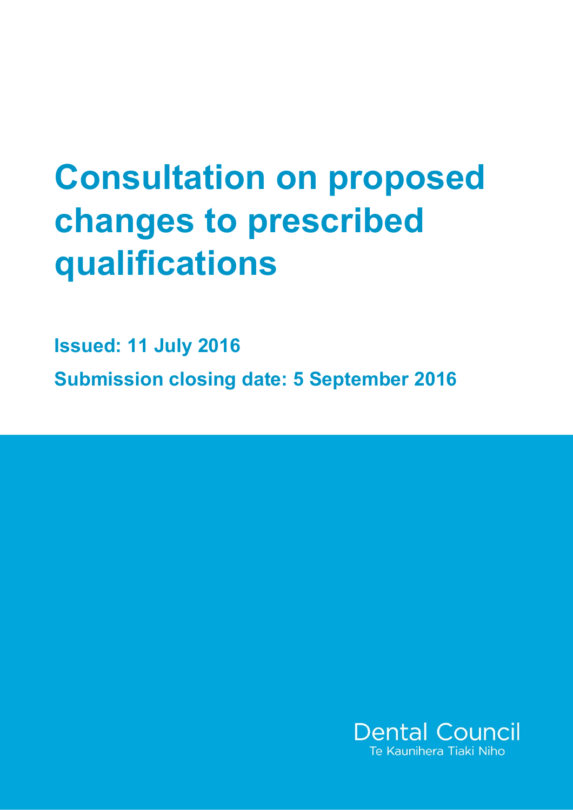# **Consultation on proposed changes to prescribed qualifications**

**Issued: 11 July 2016 Submission closing date: 5 September 2016**

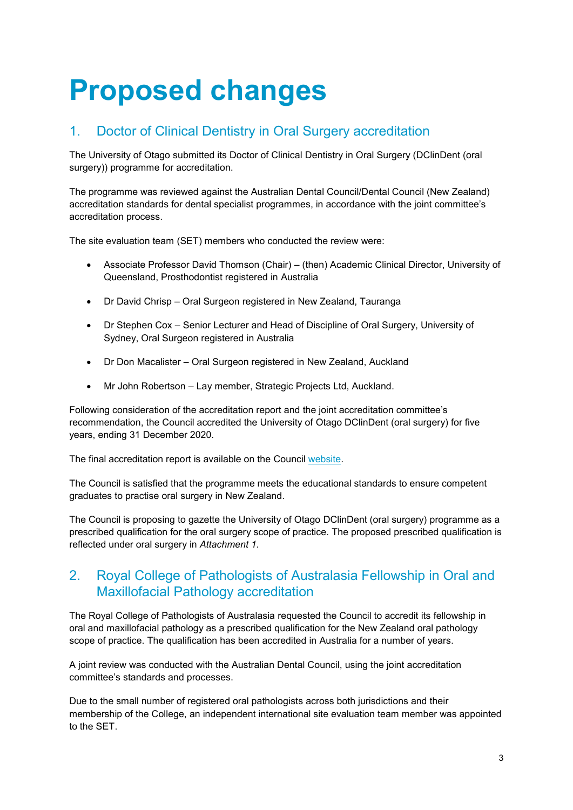## **Proposed changes**

## 1. Doctor of Clinical Dentistry in Oral Surgery accreditation

The University of Otago submitted its Doctor of Clinical Dentistry in Oral Surgery (DClinDent (oral surgery)) programme for accreditation.

The programme was reviewed against the Australian Dental Council/Dental Council (New Zealand) accreditation standards for dental specialist programmes, in accordance with the joint committee's accreditation process.

The site evaluation team (SET) members who conducted the review were:

- Associate Professor David Thomson (Chair) (then) Academic Clinical Director, University of Queensland, Prosthodontist registered in Australia
- Dr David Chrisp Oral Surgeon registered in New Zealand, Tauranga
- Dr Stephen Cox Senior Lecturer and Head of Discipline of Oral Surgery, University of Sydney, Oral Surgeon registered in Australia
- Dr Don Macalister Oral Surgeon registered in New Zealand, Auckland
- Mr John Robertson Lay member, Strategic Projects Ltd, Auckland.

Following consideration of the accreditation report and the joint accreditation committee's recommendation, the Council accredited the University of Otago DClinDent (oral surgery) for five years, ending 31 December 2020.

The final accreditation report is available on the Council [website.](http://dcnz.org.nz/assets/Uploads/Accreditation-standards/Accreditation-reports/TEAM-REPORT-OF-OTAGO-DClinDent-oral-surgery-2015.pdf)

The Council is satisfied that the programme meets the educational standards to ensure competent graduates to practise oral surgery in New Zealand.

The Council is proposing to gazette the University of Otago DClinDent (oral surgery) programme as a prescribed qualification for the oral surgery scope of practice. The proposed prescribed qualification is reflected under oral surgery in *Attachment 1*.

## 2. Royal College of Pathologists of Australasia Fellowship in Oral and Maxillofacial Pathology accreditation

The Royal College of Pathologists of Australasia requested the Council to accredit its fellowship in oral and maxillofacial pathology as a prescribed qualification for the New Zealand oral pathology scope of practice. The qualification has been accredited in Australia for a number of years.

A joint review was conducted with the Australian Dental Council, using the joint accreditation committee's standards and processes.

Due to the small number of registered oral pathologists across both jurisdictions and their membership of the College, an independent international site evaluation team member was appointed to the SET.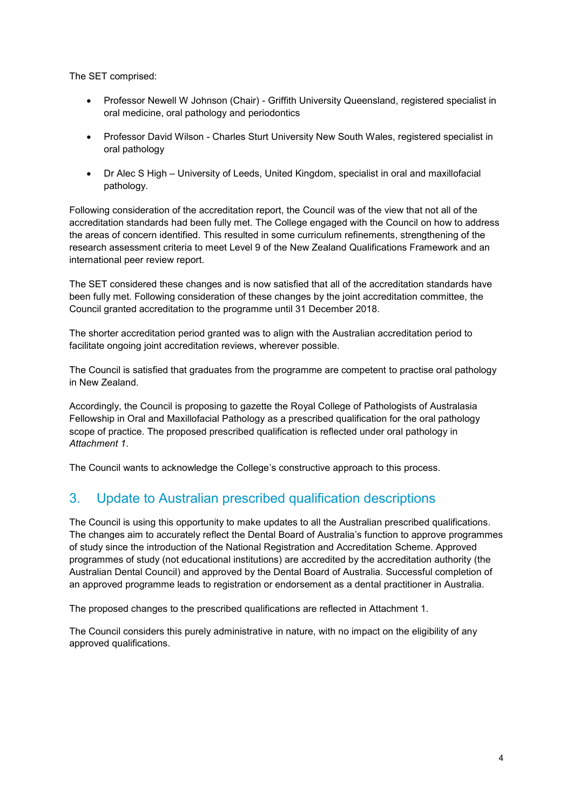The SET comprised:

- Professor Newell W Johnson (Chair) Griffith University Queensland, registered specialist in oral medicine, oral pathology and periodontics
- Professor David Wilson Charles Sturt University New South Wales, registered specialist in oral pathology
- Dr Alec S High University of Leeds, United Kingdom, specialist in oral and maxillofacial pathology.

Following consideration of the accreditation report, the Council was of the view that not all of the accreditation standards had been fully met. The College engaged with the Council on how to address the areas of concern identified. This resulted in some curriculum refinements, strengthening of the research assessment criteria to meet Level 9 of the New Zealand Qualifications Framework and an international peer review report.

The SET considered these changes and is now satisfied that all of the accreditation standards have been fully met. Following consideration of these changes by the joint accreditation committee, the Council granted accreditation to the programme until 31 December 2018.

The shorter accreditation period granted was to align with the Australian accreditation period to facilitate ongoing joint accreditation reviews, wherever possible.

The Council is satisfied that graduates from the programme are competent to practise oral pathology in New Zealand.

Accordingly, the Council is proposing to gazette the Royal College of Pathologists of Australasia Fellowship in Oral and Maxillofacial Pathology as a prescribed qualification for the oral pathology scope of practice. The proposed prescribed qualification is reflected under oral pathology in *Attachment 1*.

The Council wants to acknowledge the College's constructive approach to this process.

## 3. Update to Australian prescribed qualification descriptions

The Council is using this opportunity to make updates to all the Australian prescribed qualifications. The changes aim to accurately reflect the Dental Board of Australia's function to approve programmes of study since the introduction of the National Registration and Accreditation Scheme. Approved programmes of study (not educational institutions) are accredited by the accreditation authority (the Australian Dental Council) and approved by the Dental Board of Australia. Successful completion of an approved programme leads to registration or endorsement as a dental practitioner in Australia.

The proposed changes to the prescribed qualifications are reflected in Attachment 1.

The Council considers this purely administrative in nature, with no impact on the eligibility of any approved qualifications.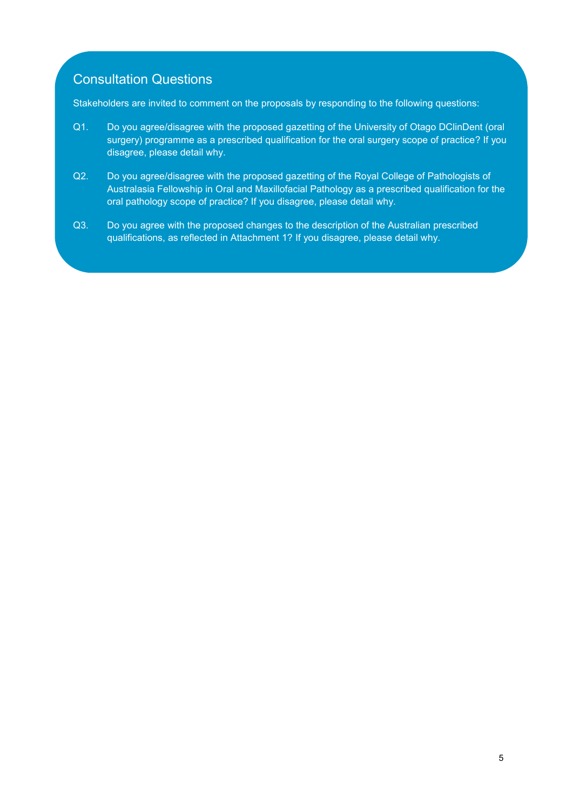## Consultation Questions

Stakeholders are invited to comment on the proposals by responding to the following questions:

- Q1. Do you agree/disagree with the proposed gazetting of the University of Otago DClinDent (oral surgery) programme as a prescribed qualification for the oral surgery scope of practice? If you disagree, please detail why.
- Q2. Do you agree/disagree with the proposed gazetting of the Royal College of Pathologists of Australasia Fellowship in Oral and Maxillofacial Pathology as a prescribed qualification for the oral pathology scope of practice? If you disagree, please detail why.
- Q3. Do you agree with the proposed changes to the description of the Australian prescribed qualifications, as reflected in Attachment 1? If you disagree, please detail why.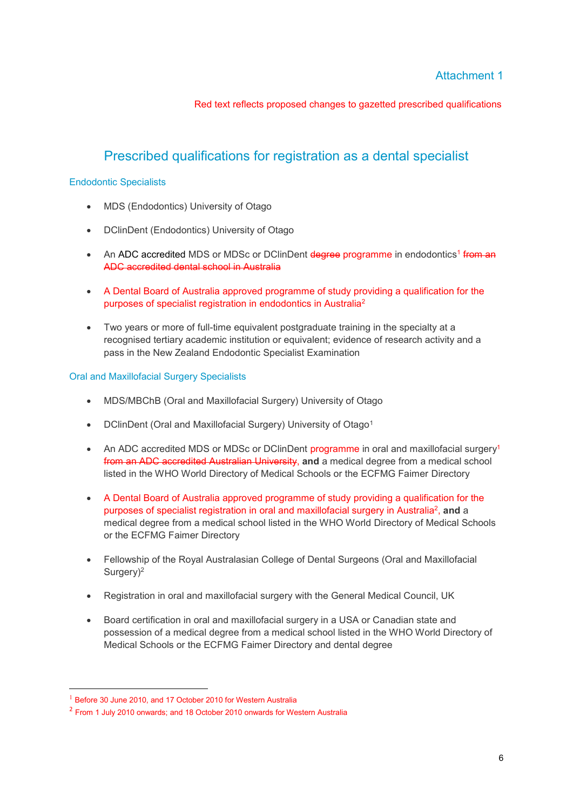Red text reflects proposed changes to gazetted prescribed qualifications

## Prescribed qualifications for registration as a dental specialist

#### Endodontic Specialists

- MDS (Endodontics) University of Otago
- DClinDent (Endodontics) University of Otago
- An ADC accredited MDS or MDSc or DClinDent degree programme in endodontics<sup>1</sup> from an ADC accredited dental school in Australia
- A Dental Board of Australia approved programme of study providing a qualification for the purposes of specialist registration in endodontics in Australia<sup>2</sup>
- Two years or more of full-time equivalent postgraduate training in the specialty at a recognised tertiary academic institution or equivalent; evidence of research activity and a pass in the New Zealand Endodontic Specialist Examination

#### Oral and Maxillofacial Surgery Specialists

- MDS/MBChB (Oral and Maxillofacial Surgery) University of Otago
- DClinDent (Oral and Maxillofacial Surgery) University of Otago<sup>1</sup>
- An ADC accredited MDS or MDSc or DClinDent programme in oral and maxillofacial surgery<sup>1</sup> from an ADC accredited Australian University, **and** a medical degree from a medical school listed in the WHO World Directory of Medical Schools or the ECFMG Faimer Directory
- A Dental Board of Australia approved programme of study providing a qualification for the purposes of specialist registration in oral and maxillofacial surgery in Australia<sup>2</sup>, and a medical degree from a medical school listed in the WHO World Directory of Medical Schools or the ECFMG Faimer Directory
- Fellowship of the Royal Australasian College of Dental Surgeons (Oral and Maxillofacial Surgery)<sup>2</sup>
- Registration in oral and maxillofacial surgery with the General Medical Council, UK
- Board certification in oral and maxillofacial surgery in a USA or Canadian state and possession of a medical degree from a medical school listed in the WHO World Directory of Medical Schools or the ECFMG Faimer Directory and dental degree

<sup>&</sup>lt;sup>1</sup> Before 30 June 2010, and 17 October 2010 for Western Australia

<sup>&</sup>lt;sup>2</sup> From 1 July 2010 onwards; and 18 October 2010 onwards for Western Australia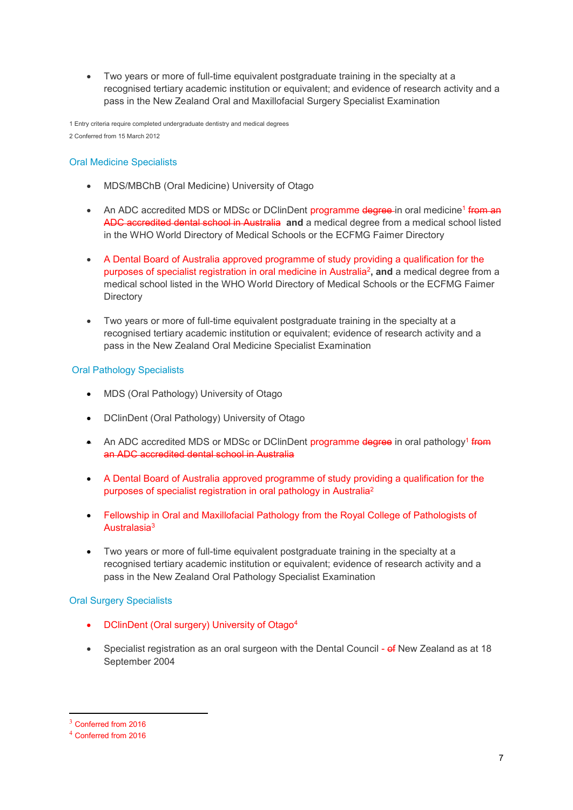Two years or more of full-time equivalent postgraduate training in the specialty at a recognised tertiary academic institution or equivalent; and evidence of research activity and a pass in the New Zealand Oral and Maxillofacial Surgery Specialist Examination

1 Entry criteria require completed undergraduate dentistry and medical degrees 2 Conferred from 15 March 2012

#### Oral Medicine Specialists

- MDS/MBChB (Oral Medicine) University of Otago
- An ADC accredited MDS or MDSc or DClinDent programme degree-in oral medicine<sup>1</sup> from an ADC accredited dental school in Australia **and** a medical degree from a medical school listed in the WHO World Directory of Medical Schools or the ECFMG Faimer Directory
- A Dental Board of Australia approved programme of study providing a qualification for the purposes of specialist registration in oral medicine in Australia<sup>2</sup> **, and** a medical degree from a medical school listed in the WHO World Directory of Medical Schools or the ECFMG Faimer **Directory**
- Two years or more of full-time equivalent postgraduate training in the specialty at a recognised tertiary academic institution or equivalent; evidence of research activity and a pass in the New Zealand Oral Medicine Specialist Examination

#### Oral Pathology Specialists

- MDS (Oral Pathology) University of Otago
- DClinDent (Oral Pathology) University of Otago
- An ADC accredited MDS or MDSc or DClinDent programme degree in oral pathology<sup>1</sup> from an ADC accredited dental school in Australia
- A Dental Board of Australia approved programme of study providing a qualification for the purposes of specialist registration in oral pathology in Australia<sup>2</sup>
- Fellowship in Oral and Maxillofacial Pathology from the Royal College of Pathologists of Australasia<sup>3</sup>
- Two years or more of full-time equivalent postgraduate training in the specialty at a recognised tertiary academic institution or equivalent; evidence of research activity and a pass in the New Zealand Oral Pathology Specialist Examination

#### Oral Surgery Specialists

- DClinDent (Oral surgery) University of Otago<sup>4</sup>
- Specialist registration as an oral surgeon with the Dental Council of New Zealand as at 18 September 2004

<sup>&</sup>lt;sup>3</sup> Conferred from 2016

<sup>4</sup> Conferred from 2016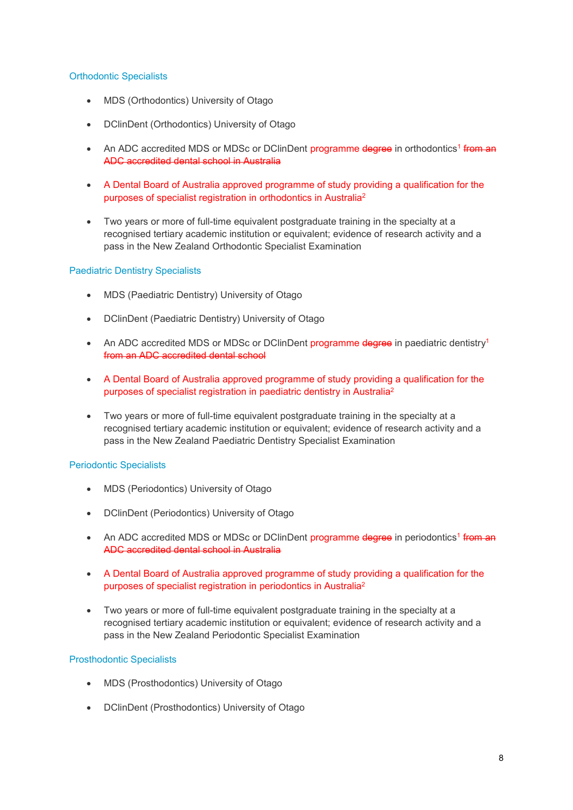#### Orthodontic Specialists

- MDS (Orthodontics) University of Otago
- DClinDent (Orthodontics) University of Otago
- An ADC accredited MDS or MDSc or DClinDent programme degree in orthodontics<sup>1</sup> from an ADC accredited dental school in Australia
- A Dental Board of Australia approved programme of study providing a qualification for the purposes of specialist registration in orthodontics in Australia<sup>2</sup>
- Two years or more of full-time equivalent postgraduate training in the specialty at a recognised tertiary academic institution or equivalent; evidence of research activity and a pass in the New Zealand Orthodontic Specialist Examination

#### Paediatric Dentistry Specialists

- MDS (Paediatric Dentistry) University of Otago
- DClinDent (Paediatric Dentistry) University of Otago
- An ADC accredited MDS or MDSc or DClinDent programme degree in paediatric dentistry<sup>1</sup> from an ADC accredited dental school
- A Dental Board of Australia approved programme of study providing a qualification for the purposes of specialist registration in paediatric dentistry in Australia<sup>2</sup>
- Two years or more of full-time equivalent postgraduate training in the specialty at a recognised tertiary academic institution or equivalent; evidence of research activity and a pass in the New Zealand Paediatric Dentistry Specialist Examination

#### Periodontic Specialists

- MDS (Periodontics) University of Otago
- DClinDent (Periodontics) University of Otago
- An ADC accredited MDS or MDSc or DClinDent programme degree in periodontics<sup>1</sup> from an ADC accredited dental school in Australia
- A Dental Board of Australia approved programme of study providing a qualification for the purposes of specialist registration in periodontics in Australia<sup>2</sup>
- Two years or more of full-time equivalent postgraduate training in the specialty at a recognised tertiary academic institution or equivalent; evidence of research activity and a pass in the New Zealand Periodontic Specialist Examination

#### Prosthodontic Specialists

- MDS (Prosthodontics) University of Otago
- DClinDent (Prosthodontics) University of Otago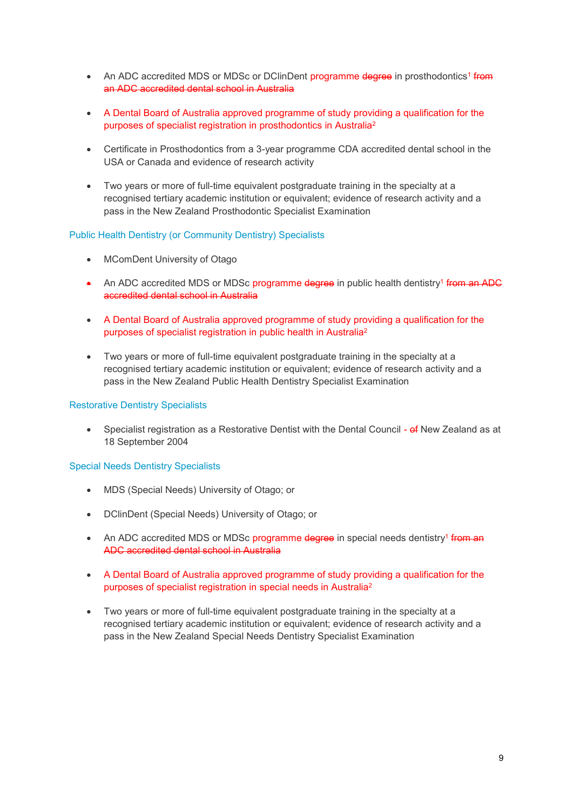- An ADC accredited MDS or MDSc or DClinDent programme degree in prosthodontics<sup>1</sup> from an ADC accredited dental school in Australia
- A Dental Board of Australia approved programme of study providing a qualification for the purposes of specialist registration in prosthodontics in Australia<sup>2</sup>
- Certificate in Prosthodontics from a 3-year programme CDA accredited dental school in the USA or Canada and evidence of research activity
- Two years or more of full-time equivalent postgraduate training in the specialty at a recognised tertiary academic institution or equivalent; evidence of research activity and a pass in the New Zealand Prosthodontic Specialist Examination

#### Public Health Dentistry (or Community Dentistry) Specialists

- MComDent University of Otago
- An ADC accredited MDS or MDSc programme degree in public health dentistry<sup>1</sup> from an ADC accredited dental school in Australia
- A Dental Board of Australia approved programme of study providing a qualification for the purposes of specialist registration in public health in Australia<sup>2</sup>
- Two years or more of full-time equivalent postgraduate training in the specialty at a recognised tertiary academic institution or equivalent; evidence of research activity and a pass in the New Zealand Public Health Dentistry Specialist Examination

#### Restorative Dentistry Specialists

Specialist registration as a Restorative Dentist with the Dental Council - of New Zealand as at 18 September 2004

#### Special Needs Dentistry Specialists

- MDS (Special Needs) University of Otago; or
- DClinDent (Special Needs) University of Otago; or
- An ADC accredited MDS or MDSc programme degree in special needs dentistry<sup>1</sup> from an ADC accredited dental school in Australia
- A Dental Board of Australia approved programme of study providing a qualification for the purposes of specialist registration in special needs in Australia<sup>2</sup>
- Two years or more of full-time equivalent postgraduate training in the specialty at a recognised tertiary academic institution or equivalent; evidence of research activity and a pass in the New Zealand Special Needs Dentistry Specialist Examination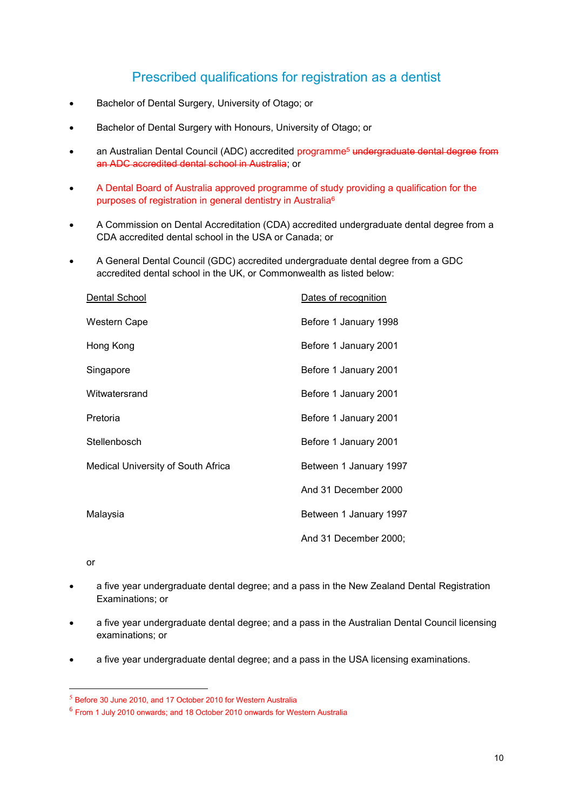## Prescribed qualifications for registration as a dentist

- Bachelor of Dental Surgery, University of Otago; or
- Bachelor of Dental Surgery with Honours, University of Otago; or
- an Australian Dental Council (ADC) accredited programme<sup>5</sup> undergraduate dental degree from an ADC accredited dental school in Australia; or
- A Dental Board of Australia approved programme of study providing a qualification for the purposes of registration in general dentistry in Australia<sup>6</sup>
- A Commission on Dental Accreditation (CDA) accredited undergraduate dental degree from a CDA accredited dental school in the USA or Canada; or
- A General Dental Council (GDC) accredited undergraduate dental degree from a GDC accredited dental school in the UK, or Commonwealth as listed below:

| Dental School                             | Dates of recognition   |
|-------------------------------------------|------------------------|
| Western Cape                              | Before 1 January 1998  |
| Hong Kong                                 | Before 1 January 2001  |
| Singapore                                 | Before 1 January 2001  |
| Witwatersrand                             | Before 1 January 2001  |
| Pretoria                                  | Before 1 January 2001  |
| Stellenbosch                              | Before 1 January 2001  |
| <b>Medical University of South Africa</b> | Between 1 January 1997 |
|                                           | And 31 December 2000   |
| Malaysia                                  | Between 1 January 1997 |
|                                           | And 31 December 2000;  |

or

- a five year undergraduate dental degree; and a pass in the New Zealand Dental Registration Examinations; or
- a five year undergraduate dental degree; and a pass in the Australian Dental Council licensing examinations; or
- a five year undergraduate dental degree; and a pass in the USA licensing examinations.

 $<sup>5</sup>$  Before 30 June 2010, and 17 October 2010 for Western Australia</sup>

<sup>6</sup> From 1 July 2010 onwards; and 18 October 2010 onwards for Western Australia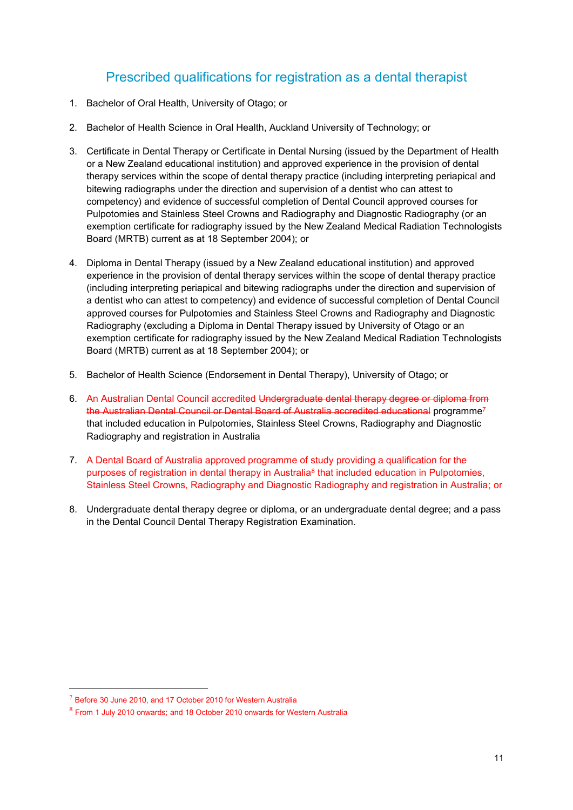## Prescribed qualifications for registration as a dental therapist

- 1. Bachelor of Oral Health, University of Otago; or
- 2. Bachelor of Health Science in Oral Health, Auckland University of Technology; or
- 3. Certificate in Dental Therapy or Certificate in Dental Nursing (issued by the Department of Health or a New Zealand educational institution) and approved experience in the provision of dental therapy services within the scope of dental therapy practice (including interpreting periapical and bitewing radiographs under the direction and supervision of a dentist who can attest to competency) and evidence of successful completion of Dental Council approved courses for Pulpotomies and Stainless Steel Crowns and Radiography and Diagnostic Radiography (or an exemption certificate for radiography issued by the New Zealand Medical Radiation Technologists Board (MRTB) current as at 18 September 2004); or
- 4. Diploma in Dental Therapy (issued by a New Zealand educational institution) and approved experience in the provision of dental therapy services within the scope of dental therapy practice (including interpreting periapical and bitewing radiographs under the direction and supervision of a dentist who can attest to competency) and evidence of successful completion of Dental Council approved courses for Pulpotomies and Stainless Steel Crowns and Radiography and Diagnostic Radiography (excluding a Diploma in Dental Therapy issued by University of Otago or an exemption certificate for radiography issued by the New Zealand Medical Radiation Technologists Board (MRTB) current as at 18 September 2004); or
- 5. Bachelor of Health Science (Endorsement in Dental Therapy), University of Otago; or
- 6. An Australian Dental Council accredited Undergraduate dental therapy degree or diploma from the Australian Dental Council or Dental Board of Australia accredited educational programme<sup>7</sup> that included education in Pulpotomies, Stainless Steel Crowns, Radiography and Diagnostic Radiography and registration in Australia
- 7. A Dental Board of Australia approved programme of study providing a qualification for the purposes of registration in dental therapy in Australia<sup>8</sup> that included education in Pulpotomies, Stainless Steel Crowns, Radiography and Diagnostic Radiography and registration in Australia; or
- 8. Undergraduate dental therapy degree or diploma, or an undergraduate dental degree; and a pass in the Dental Council Dental Therapy Registration Examination.

 $7$  Before 30 June 2010, and 17 October 2010 for Western Australia

<sup>&</sup>lt;sup>8</sup> From 1 July 2010 onwards; and 18 October 2010 onwards for Western Australia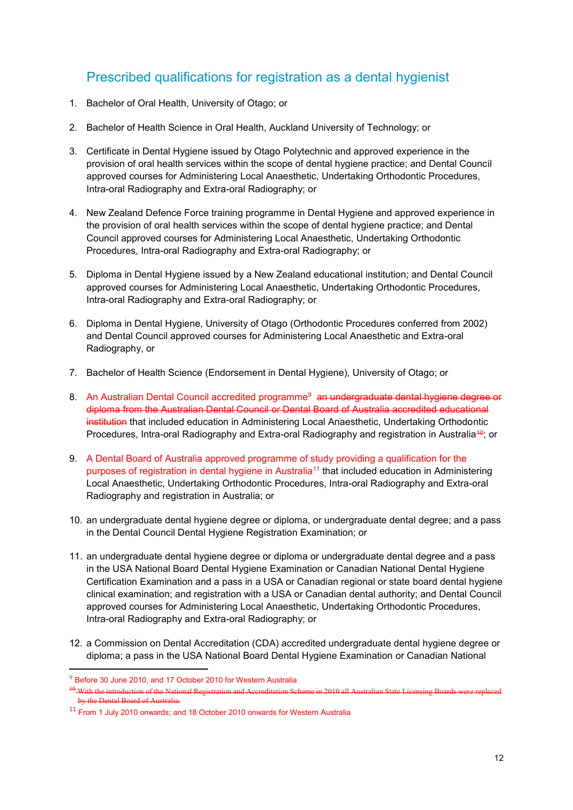## Prescribed qualifications for registration as a dental hygienist

- 1. Bachelor of Oral Health, University of Otago; or
- 2. Bachelor of Health Science in Oral Health, Auckland University of Technology; or
- 3. Certificate in Dental Hygiene issued by Otago Polytechnic and approved experience in the provision of oral health services within the scope of dental hygiene practice; and Dental Council approved courses for Administering Local Anaesthetic, Undertaking Orthodontic Procedures, Intra-oral Radiography and Extra-oral Radiography; or
- 4. New Zealand Defence Force training programme in Dental Hygiene and approved experience in the provision of oral health services within the scope of dental hygiene practice; and Dental Council approved courses for Administering Local Anaesthetic, Undertaking Orthodontic Procedures, Intra-oral Radiography and Extra-oral Radiography; or
- 5. Diploma in Dental Hygiene issued by a New Zealand educational institution; and Dental Council approved courses for Administering Local Anaesthetic, Undertaking Orthodontic Procedures, Intra-oral Radiography and Extra-oral Radiography; or
- 6. Diploma in Dental Hygiene, University of Otago (Orthodontic Procedures conferred from 2002) and Dental Council approved courses for Administering Local Anaesthetic and Extra-oral Radiography, or
- 7. Bachelor of Health Science (Endorsement in Dental Hygiene), University of Otago; or
- 8. An Australian Dental Council accredited programme<sup>9</sup> an undergraduate dental hygiene degree or diploma from the Australian Dental Council or Dental Board of Australia accredited educational institution that included education in Administering Local Anaesthetic, Undertaking Orthodontic Procedures, Intra-oral Radiography and Extra-oral Radiography and registration in Australia<sup>49</sup>; or
- 9. A Dental Board of Australia approved programme of study providing a qualification for the purposes of registration in dental hygiene in Australia<sup>11</sup> that included education in Administering Local Anaesthetic, Undertaking Orthodontic Procedures, Intra-oral Radiography and Extra-oral Radiography and registration in Australia; or
- 10. an undergraduate dental hygiene degree or diploma, or undergraduate dental degree; and a pass in the Dental Council Dental Hygiene Registration Examination; or
- 11. an undergraduate dental hygiene degree or diploma or undergraduate dental degree and a pass in the USA National Board Dental Hygiene Examination or Canadian National Dental Hygiene Certification Examination and a pass in a USA or Canadian regional or state board dental hygiene clinical examination; and registration with a USA or Canadian dental authority; and Dental Council approved courses for Administering Local Anaesthetic, Undertaking Orthodontic Procedures, Intra-oral Radiography and Extra-oral Radiography; or
- 12. a Commission on Dental Accreditation (CDA) accredited undergraduate dental hygiene degree or diploma; a pass in the USA National Board Dental Hygiene Examination or Canadian National

<sup>&</sup>lt;sup>9</sup> Before 30 June 2010, and 17 October 2010 for Western Australia

<sup>&</sup>lt;sup>10</sup> With the introduction of the National Registration and Accreditation Scheme in 2010 all Australian State Licensing Boards by the Dental Board of Australia.

<sup>11</sup> From 1 July 2010 onwards; and 18 October 2010 onwards for Western Australia